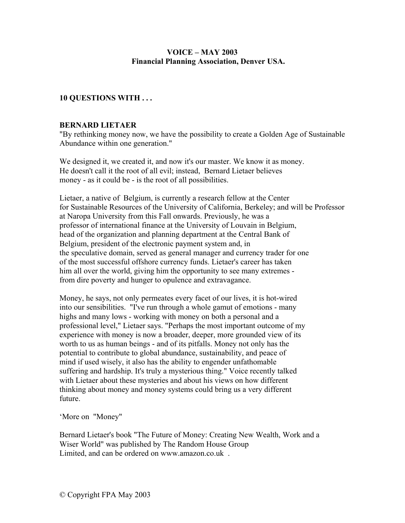## **VOICE – MAY 2003 Financial Planning Association, Denver USA.**

## **10 QUESTIONS WITH . . .**

#### **BERNARD LIETAER**

"By rethinking money now, we have the possibility to create a Golden Age of Sustainable Abundance within one generation."

We designed it, we created it, and now it's our master. We know it as money. He doesn't call it the root of all evil; instead, Bernard Lietaer believes money - as it could be - is the root of all possibilities.

Lietaer, a native of Belgium, is currently a research fellow at the Center for Sustainable Resources of the University of California, Berkeley; and will be Professor at Naropa University from this Fall onwards. Previously, he was a professor of international finance at the University of Louvain in Belgium, head of the organization and planning department at the Central Bank of Belgium, president of the electronic payment system and, in the speculative domain, served as general manager and currency trader for one of the most successful offshore currency funds. Lietaer's career has taken him all over the world, giving him the opportunity to see many extremes from dire poverty and hunger to opulence and extravagance.

Money, he says, not only permeates every facet of our lives, it is hot-wired into our sensibilities. "I've run through a whole gamut of emotions - many highs and many lows - working with money on both a personal and a professional level," Lietaer says. "Perhaps the most important outcome of my experience with money is now a broader, deeper, more grounded view of its worth to us as human beings - and of its pitfalls. Money not only has the potential to contribute to global abundance, sustainability, and peace of mind if used wisely, it also has the ability to engender unfathomable suffering and hardship. It's truly a mysterious thing." Voice recently talked with Lietaer about these mysteries and about his views on how different thinking about money and money systems could bring us a very different future.

'More on "Money"

Bernard Lietaer's book "The Future of Money: Creating New Wealth, Work and a Wiser World" was published by The Random House Group Limited, and can be ordered on www.amazon.co.uk .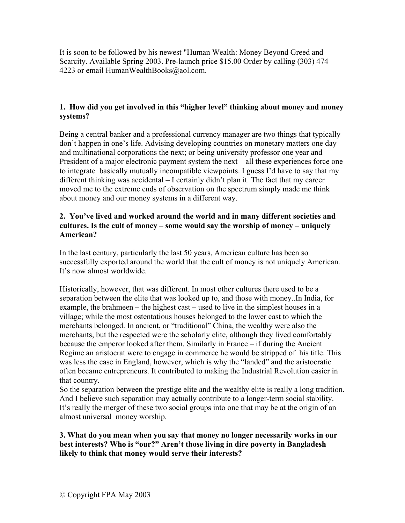It is soon to be followed by his newest "Human Wealth: Money Beyond Greed and Scarcity. Available Spring 2003. Pre-launch price \$15.00 Order by calling (303) 474 4223 or email HumanWealthBooks@aol.com.

# **1. How did you get involved in this "higher level" thinking about money and money systems?**

Being a central banker and a professional currency manager are two things that typically don't happen in one's life. Advising developing countries on monetary matters one day and multinational corporations the next; or being university professor one year and President of a major electronic payment system the next – all these experiences force one to integrate basically mutually incompatible viewpoints. I guess I'd have to say that my different thinking was accidental – I certainly didn't plan it. The fact that my career moved me to the extreme ends of observation on the spectrum simply made me think about money and our money systems in a different way.

## **2. You've lived and worked around the world and in many different societies and cultures. Is the cult of money – some would say the worship of money – uniquely American?**

In the last century, particularly the last 50 years, American culture has been so successfully exported around the world that the cult of money is not uniquely American. It's now almost worldwide.

Historically, however, that was different. In most other cultures there used to be a separation between the elite that was looked up to, and those with money..In India, for example, the brahmeen – the highest cast – used to live in the simplest houses in a village; while the most ostentatious houses belonged to the lower cast to which the merchants belonged. In ancient, or "traditional" China, the wealthy were also the merchants, but the respected were the scholarly elite, although they lived comfortably because the emperor looked after them. Similarly in France – if during the Ancient Regime an aristocrat were to engage in commerce he would be stripped of his title. This was less the case in England, however, which is why the "landed" and the aristocratic often became entrepreneurs. It contributed to making the Industrial Revolution easier in that country.

So the separation between the prestige elite and the wealthy elite is really a long tradition. And I believe such separation may actually contribute to a longer-term social stability. It's really the merger of these two social groups into one that may be at the origin of an almost universal money worship.

**3. What do you mean when you say that money no longer necessarily works in our best interests? Who is "our?" Aren't those living in dire poverty in Bangladesh likely to think that money would serve their interests?**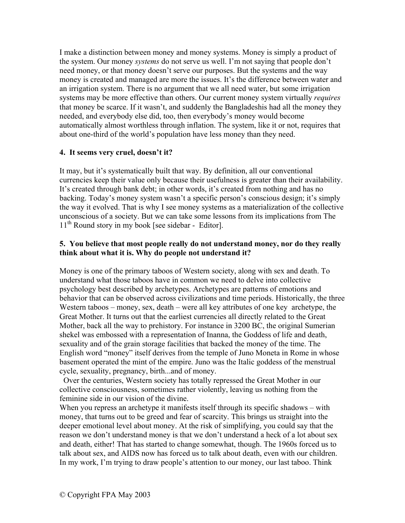I make a distinction between money and money systems. Money is simply a product of the system. Our money *systems* do not serve us well. I'm not saying that people don't need money, or that money doesn't serve our purposes. But the systems and the way money is created and managed are more the issues. It's the difference between water and an irrigation system. There is no argument that we all need water, but some irrigation systems may be more effective than others. Our current money system virtually *requires* that money be scarce. If it wasn't, and suddenly the Bangladeshis had all the money they needed, and everybody else did, too, then everybody's money would become automatically almost worthless through inflation. The system, like it or not, requires that about one-third of the world's population have less money than they need.

# **4. It seems very cruel, doesn't it?**

It may, but it's systematically built that way. By definition, all our conventional currencies keep their value only because their usefulness is greater than their availability. It's created through bank debt; in other words, it's created from nothing and has no backing. Today's money system wasn't a specific person's conscious design; it's simply the way it evolved. That is why I see money systems as a materialization of the collective unconscious of a society. But we can take some lessons from its implications from The  $11<sup>th</sup>$  Round story in my book [see sidebar - Editor].

## **5. You believe that most people really do not understand money, nor do they really think about what it is. Why do people not understand it?**

Money is one of the primary taboos of Western society, along with sex and death. To understand what those taboos have in common we need to delve into collective psychology best described by archetypes. Archetypes are patterns of emotions and behavior that can be observed across civilizations and time periods. Historically, the three Western taboos – money, sex, death – were all key attributes of one key archetype, the Great Mother. It turns out that the earliest currencies all directly related to the Great Mother, back all the way to prehistory. For instance in 3200 BC, the original Sumerian shekel was embossed with a representation of Inanna, the Goddess of life and death, sexuality and of the grain storage facilities that backed the money of the time. The English word "money" itself derives from the temple of Juno Moneta in Rome in whose basement operated the mint of the empire. Juno was the Italic goddess of the menstrual cycle, sexuality, pregnancy, birth...and of money.

 Over the centuries, Western society has totally repressed the Great Mother in our collective consciousness, sometimes rather violently, leaving us nothing from the feminine side in our vision of the divine.

When you repress an archetype it manifests itself through its specific shadows – with money, that turns out to be greed and fear of scarcity. This brings us straight into the deeper emotional level about money. At the risk of simplifying, you could say that the reason we don't understand money is that we don't understand a heck of a lot about sex and death, either! That has started to change somewhat, though. The 1960s forced us to talk about sex, and AIDS now has forced us to talk about death, even with our children. In my work, I'm trying to draw people's attention to our money, our last taboo. Think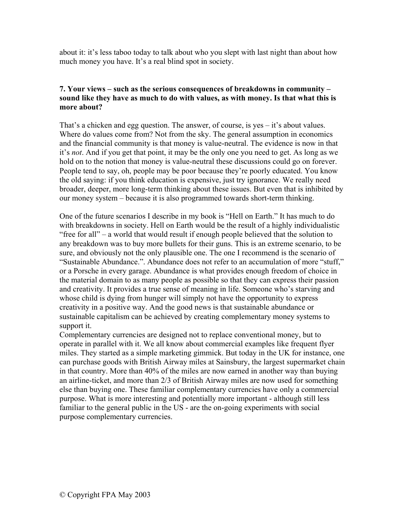about it: it's less taboo today to talk about who you slept with last night than about how much money you have. It's a real blind spot in society.

### **7. Your views – such as the serious consequences of breakdowns in community – sound like they have as much to do with values, as with money. Is that what this is more about?**

That's a chicken and egg question. The answer, of course, is yes  $-$  it's about values. Where do values come from? Not from the sky. The general assumption in economics and the financial community is that money is value-neutral. The evidence is now in that it's *not*. And if you get that point, it may be the only one you need to get. As long as we hold on to the notion that money is value-neutral these discussions could go on forever. People tend to say, oh, people may be poor because they're poorly educated. You know the old saying: if you think education is expensive, just try ignorance. We really need broader, deeper, more long-term thinking about these issues. But even that is inhibited by our money system – because it is also programmed towards short-term thinking.

One of the future scenarios I describe in my book is "Hell on Earth." It has much to do with breakdowns in society. Hell on Earth would be the result of a highly individualistic "free for all" – a world that would result if enough people believed that the solution to any breakdown was to buy more bullets for their guns. This is an extreme scenario, to be sure, and obviously not the only plausible one. The one I recommend is the scenario of "Sustainable Abundance.". Abundance does not refer to an accumulation of more "stuff," or a Porsche in every garage. Abundance is what provides enough freedom of choice in the material domain to as many people as possible so that they can express their passion and creativity. It provides a true sense of meaning in life. Someone who's starving and whose child is dying from hunger will simply not have the opportunity to express creativity in a positive way. And the good news is that sustainable abundance or sustainable capitalism can be achieved by creating complementary money systems to support it.

Complementary currencies are designed not to replace conventional money, but to operate in parallel with it. We all know about commercial examples like frequent flyer miles. They started as a simple marketing gimmick. But today in the UK for instance, one can purchase goods with British Airway miles at Sainsbury, the largest supermarket chain in that country. More than 40% of the miles are now earned in another way than buying an airline-ticket, and more than 2/3 of British Airway miles are now used for something else than buying one. These familiar complementary currencies have only a commercial purpose. What is more interesting and potentially more important - although still less familiar to the general public in the US - are the on-going experiments with social purpose complementary currencies.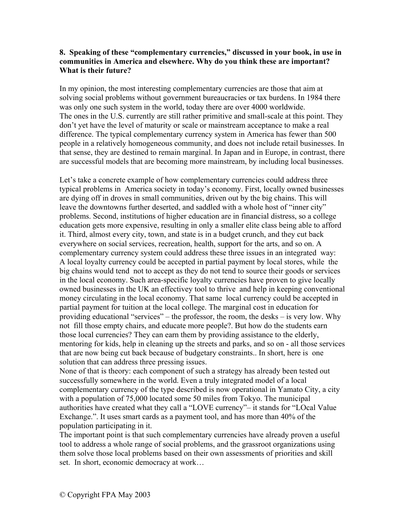## **8. Speaking of these "complementary currencies," discussed in your book, in use in communities in America and elsewhere. Why do you think these are important? What is their future?**

In my opinion, the most interesting complementary currencies are those that aim at solving social problems without government bureaucracies or tax burdens. In 1984 there was only one such system in the world, today there are over 4000 worldwide. The ones in the U.S. currently are still rather primitive and small-scale at this point. They don't yet have the level of maturity or scale or mainstream acceptance to make a real difference. The typical complementary currency system in America has fewer than 500 people in a relatively homogeneous community, and does not include retail businesses. In that sense, they are destined to remain marginal. In Japan and in Europe, in contrast, there are successful models that are becoming more mainstream, by including local businesses.

Let's take a concrete example of how complementary currencies could address three typical problems in America society in today's economy. First, locally owned businesses are dying off in droves in small communities, driven out by the big chains. This will leave the downtowns further deserted, and saddled with a whole host of "inner city" problems. Second, institutions of higher education are in financial distress, so a college education gets more expensive, resulting in only a smaller elite class being able to afford it. Third, almost every city, town, and state is in a budget crunch, and they cut back everywhere on social services, recreation, health, support for the arts, and so on. A complementary currency system could address these three issues in an integrated way: A local loyalty currency could be accepted in partial payment by local stores, while the big chains would tend not to accept as they do not tend to source their goods or services in the local economy. Such area-specific loyalty currencies have proven to give locally owned businesses in the UK an effectivey tool to thrive and help in keeping conventional money circulating in the local economy. That same local currency could be accepted in partial payment for tuition at the local college. The marginal cost in education for providing educational "services" – the professor, the room, the desks – is very low. Why not fill those empty chairs, and educate more people?. But how do the students earn those local currencies? They can earn them by providing assistance to the elderly, mentoring for kids, help in cleaning up the streets and parks, and so on - all those services that are now being cut back because of budgetary constraints.. In short, here is one solution that can address three pressing issues.

None of that is theory: each component of such a strategy has already been tested out successfully somewhere in the world. Even a truly integrated model of a local complementary currency of the type described is now operational in Yamato City, a city with a population of 75,000 located some 50 miles from Tokyo. The municipal authorities have created what they call a "LOVE currency"– it stands for "LOcal Value Exchange.". It uses smart cards as a payment tool, and has more than 40% of the population participating in it.

The important point is that such complementary currencies have already proven a useful tool to address a whole range of social problems, and the grassroot organizations using them solve those local problems based on their own assessments of priorities and skill set. In short, economic democracy at work…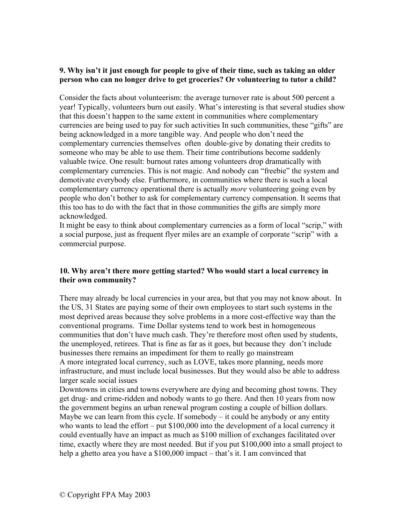## **9. Why isn't it just enough for people to give of their time, such as taking an older person who can no longer drive to get groceries? Or volunteering to tutor a child?**

Consider the facts about volunteerism: the average turnover rate is about 500 percent a year! Typically, volunteers burn out easily. What's interesting is that several studies show that this doesn't happen to the same extent in communities where complementary currencies are being used to pay for such activities In such communities, these "gifts" are being acknowledged in a more tangible way. And people who don't need the complementary currencies themselves often double-give by donating their credits to someone who may be able to use them. Their time contributions become suddenly valuable twice. One result: burnout rates among volunteers drop dramatically with complementary currencies. This is not magic. And nobody can "freebie" the system and demotivate everybody else. Furthermore, in communities where there is such a local complementary currency operational there is actually *more* volunteering going even by people who don't bother to ask for complementary currency compensation. It seems that this too has to do with the fact that in those communities the gifts are simply more acknowledged.

It might be easy to think about complementary currencies as a form of local "scrip," with a social purpose, just as frequent flyer miles are an example of corporate "scrip" with a commercial purpose.

# **10. Why aren't there more getting started? Who would start a local currency in their own community?**

There may already be local currencies in your area, but that you may not know about. In the US, 31 States are paying some of their own employees to start such systems in the most deprived areas because they solve problems in a more cost-effective way than the conventional programs. Time Dollar systems tend to work best in homogeneous communities that don't have much cash. They're therefore most often used by students, the unemployed, retirees. That is fine as far as it goes, but because they don't include businesses there remains an impediment for them to really go mainstream A more integrated local currency, such as LOVE, takes more planning, needs more infrastructure, and must include local businesses. But they would also be able to address larger scale social issues

Downtowns in cities and towns everywhere are dying and becoming ghost towns. They get drug- and crime-ridden and nobody wants to go there. And then 10 years from now the government begins an urban renewal program costing a couple of billion dollars. Maybe we can learn from this cycle. If somebody  $-$  it could be anybody or any entity who wants to lead the effort – put \$100,000 into the development of a local currency it could eventually have an impact as much as \$100 million of exchanges facilitated over time, exactly where they are most needed. But if you put \$100,000 into a small project to help a ghetto area you have a \$100,000 impact – that's it. I am convinced that